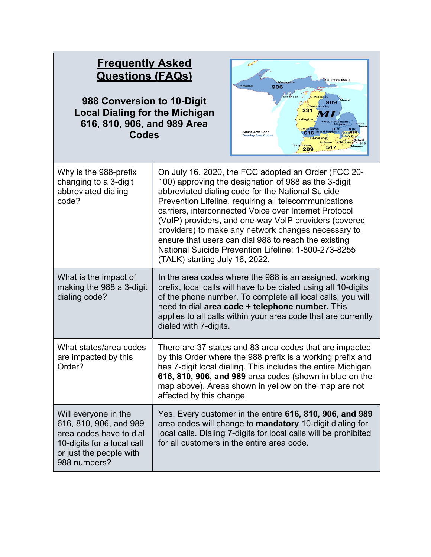| <b>Frequently Asked</b><br><b>Questions (FAQs)</b><br>988 Conversion to 10-Digit<br><b>Local Dialing for the Michigan</b><br>616, 810, 906, and 989 Area<br><b>Codes</b> |                                                                                                                                                                                                                                                                                                                                                                                                                                                                                                                                                      | Sault Ste. Marie<br>Marquette<br>· Ironwood<br>906<br>989<br><b>Traverse City</b><br>231<br>udingto.<br>810<br>Flint -<br><b>Single Area Code</b><br>248586<br>616<br><b>Overlay Area Codes</b><br>947. Troy<br>nn. ∙ Detroit<br>Jackson<br>$-313$<br>Kalamazoo<br>Monro<br>517<br>269                      |
|--------------------------------------------------------------------------------------------------------------------------------------------------------------------------|------------------------------------------------------------------------------------------------------------------------------------------------------------------------------------------------------------------------------------------------------------------------------------------------------------------------------------------------------------------------------------------------------------------------------------------------------------------------------------------------------------------------------------------------------|-------------------------------------------------------------------------------------------------------------------------------------------------------------------------------------------------------------------------------------------------------------------------------------------------------------|
| Why is the 988-prefix<br>changing to a 3-digit<br>abbreviated dialing<br>code?                                                                                           | On July 16, 2020, the FCC adopted an Order (FCC 20-<br>100) approving the designation of 988 as the 3-digit<br>abbreviated dialing code for the National Suicide<br>Prevention Lifeline, requiring all telecommunications<br>carriers, interconnected Voice over Internet Protocol<br>(VoIP) providers, and one-way VoIP providers (covered<br>providers) to make any network changes necessary to<br>ensure that users can dial 988 to reach the existing<br>National Suicide Prevention Lifeline: 1-800-273-8255<br>(TALK) starting July 16, 2022. |                                                                                                                                                                                                                                                                                                             |
| What is the impact of<br>making the 988 a 3-digit<br>dialing code?                                                                                                       | dialed with 7-digits.                                                                                                                                                                                                                                                                                                                                                                                                                                                                                                                                | In the area codes where the 988 is an assigned, working<br>prefix, local calls will have to be dialed using all 10-digits<br>of the phone number. To complete all local calls, you will<br>need to dial area code + telephone number. This<br>applies to all calls within your area code that are currently |
| What states/area codes<br>are impacted by this<br>Order?                                                                                                                 | affected by this change.                                                                                                                                                                                                                                                                                                                                                                                                                                                                                                                             | There are 37 states and 83 area codes that are impacted<br>by this Order where the 988 prefix is a working prefix and<br>has 7-digit local dialing. This includes the entire Michigan<br>616, 810, 906, and 989 area codes (shown in blue on the<br>map above). Areas shown in yellow on the map are not    |
| Will everyone in the<br>616, 810, 906, and 989<br>area codes have to dial<br>10-digits for a local call<br>or just the people with<br>988 numbers?                       |                                                                                                                                                                                                                                                                                                                                                                                                                                                                                                                                                      | Yes. Every customer in the entire 616, 810, 906, and 989<br>area codes will change to mandatory 10-digit dialing for<br>local calls. Dialing 7-digits for local calls will be prohibited<br>for all customers in the entire area code.                                                                      |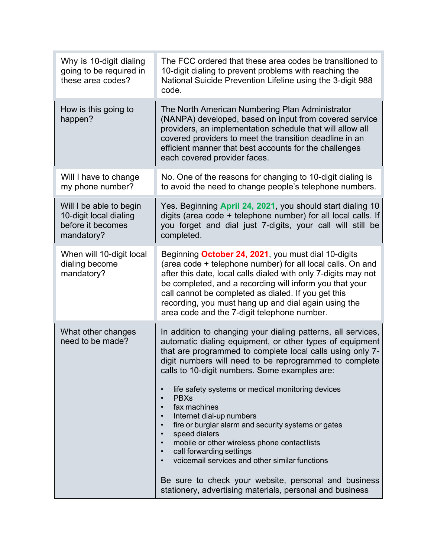| Why is 10-digit dialing<br>going to be required in<br>these area codes?              | The FCC ordered that these area codes be transitioned to<br>10-digit dialing to prevent problems with reaching the<br>National Suicide Prevention Lifeline using the 3-digit 988<br>code.                                                                                                                                                                                                                                                                                                                                                                                                                                                                                                                                                                                                                                                         |
|--------------------------------------------------------------------------------------|---------------------------------------------------------------------------------------------------------------------------------------------------------------------------------------------------------------------------------------------------------------------------------------------------------------------------------------------------------------------------------------------------------------------------------------------------------------------------------------------------------------------------------------------------------------------------------------------------------------------------------------------------------------------------------------------------------------------------------------------------------------------------------------------------------------------------------------------------|
| How is this going to<br>happen?                                                      | The North American Numbering Plan Administrator<br>(NANPA) developed, based on input from covered service<br>providers, an implementation schedule that will allow all<br>covered providers to meet the transition deadline in an<br>efficient manner that best accounts for the challenges<br>each covered provider faces.                                                                                                                                                                                                                                                                                                                                                                                                                                                                                                                       |
| Will I have to change<br>my phone number?                                            | No. One of the reasons for changing to 10-digit dialing is<br>to avoid the need to change people's telephone numbers.                                                                                                                                                                                                                                                                                                                                                                                                                                                                                                                                                                                                                                                                                                                             |
| Will I be able to begin<br>10-digit local dialing<br>before it becomes<br>mandatory? | Yes. Beginning April 24, 2021, you should start dialing 10<br>digits (area code + telephone number) for all local calls. If<br>you forget and dial just 7-digits, your call will still be<br>completed.                                                                                                                                                                                                                                                                                                                                                                                                                                                                                                                                                                                                                                           |
| When will 10-digit local<br>dialing become<br>mandatory?                             | Beginning October 24, 2021, you must dial 10-digits<br>(area code + telephone number) for all local calls. On and<br>after this date, local calls dialed with only 7-digits may not<br>be completed, and a recording will inform you that your<br>call cannot be completed as dialed. If you get this<br>recording, you must hang up and dial again using the<br>area code and the 7-digit telephone number.                                                                                                                                                                                                                                                                                                                                                                                                                                      |
| What other changes<br>need to be made?                                               | In addition to changing your dialing patterns, all services,<br>automatic dialing equipment, or other types of equipment<br>that are programmed to complete local calls using only 7-<br>digit numbers will need to be reprogrammed to complete<br>calls to 10-digit numbers. Some examples are:<br>life safety systems or medical monitoring devices<br>$\bullet$<br><b>PBXs</b><br>$\bullet$<br>fax machines<br>$\bullet$<br>Internet dial-up numbers<br>fire or burglar alarm and security systems or gates<br>$\bullet$<br>speed dialers<br>$\bullet$<br>mobile or other wireless phone contactlists<br>$\bullet$<br>call forwarding settings<br>$\bullet$<br>voicemail services and other similar functions<br>$\bullet$<br>Be sure to check your website, personal and business<br>stationery, advertising materials, personal and business |